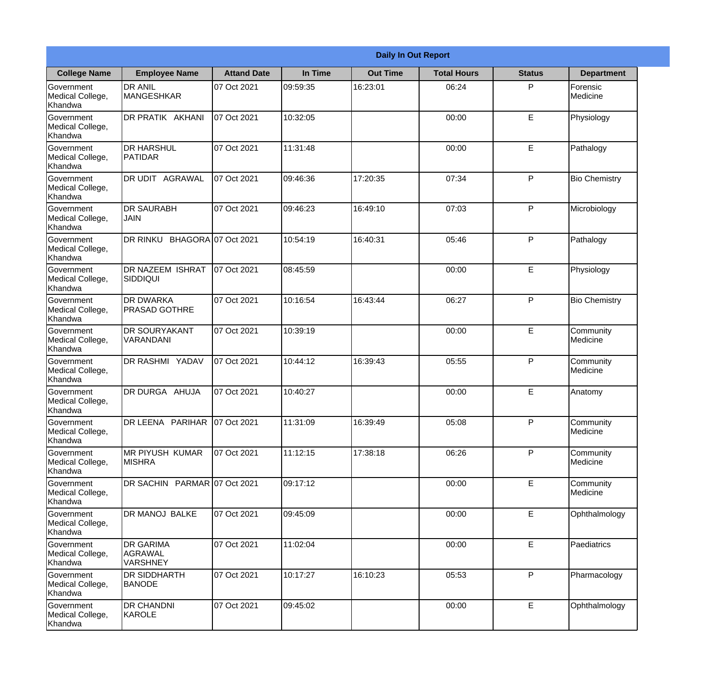|                                                  | <b>Daily In Out Report</b>                     |                    |          |                 |                    |               |                       |  |
|--------------------------------------------------|------------------------------------------------|--------------------|----------|-----------------|--------------------|---------------|-----------------------|--|
| <b>College Name</b>                              | <b>Employee Name</b>                           | <b>Attand Date</b> | In Time  | <b>Out Time</b> | <b>Total Hours</b> | <b>Status</b> | <b>Department</b>     |  |
| Government<br>Medical College,<br>Khandwa        | <b>DR ANIL</b><br><b>MANGESHKAR</b>            | 07 Oct 2021        | 09:59:35 | 16:23:01        | 06:24              | P             | Forensic<br>Medicine  |  |
| Government<br>Medical College,<br>Khandwa        | DR PRATIK AKHANI                               | 07 Oct 2021        | 10:32:05 |                 | 00:00              | E             | Physiology            |  |
| <b>Government</b><br>Medical College,<br>Khandwa | <b>DR HARSHUL</b><br><b>PATIDAR</b>            | 07 Oct 2021        | 11:31:48 |                 | 00:00              | E             | Pathalogy             |  |
| <b>Government</b><br>Medical College,<br>Khandwa | <b>DR UDIT AGRAWAL</b>                         | 07 Oct 2021        | 09:46:36 | 17:20:35        | 07:34              | P             | <b>Bio Chemistry</b>  |  |
| Government<br>Medical College,<br>Khandwa        | <b>DR SAURABH</b><br><b>JAIN</b>               | 07 Oct 2021        | 09:46:23 | 16:49:10        | 07:03              | P             | Microbiology          |  |
| Government<br>Medical College,<br>Khandwa        | DR RINKU BHAGORA 07 Oct 2021                   |                    | 10:54:19 | 16:40:31        | 05:46              | P             | Pathalogy             |  |
| <b>Government</b><br>Medical College,<br>Khandwa | <b>IDR NAZEEM ISHRAT</b><br> SIDDIQUI          | 07 Oct 2021        | 08:45:59 |                 | 00:00              | E             | Physiology            |  |
| <b>Government</b><br>Medical College,<br>Khandwa | <b>DR DWARKA</b><br><b>PRASAD GOTHRE</b>       | 07 Oct 2021        | 10:16:54 | 16:43:44        | 06:27              | P             | <b>Bio Chemistry</b>  |  |
| Government<br>Medical College,<br>Khandwa        | <b>DR SOURYAKANT</b><br>VARANDANI              | 07 Oct 2021        | 10:39:19 |                 | 00:00              | E             | Community<br>Medicine |  |
| Government<br>Medical College,<br>Khandwa        | DR RASHMI YADAV                                | 07 Oct 2021        | 10:44:12 | 16:39:43        | 05:55              | P             | Community<br>Medicine |  |
| Government<br>Medical College,<br>Khandwa        | <b>IDR DURGA AHUJA</b>                         | 07 Oct 2021        | 10:40:27 |                 | 00:00              | E             | Anatomy               |  |
| Government<br>Medical College,<br>Khandwa        | DR LEENA PARIHAR 07 Oct 2021                   |                    | 11:31:09 | 16:39:49        | 05:08              | P             | Community<br>Medicine |  |
| Government<br>Medical College,<br>Khandwa        | <b>MR PIYUSH KUMAR</b><br><b>MISHRA</b>        | 07 Oct 2021        | 11:12:15 | 17:38:18        | 06:26              | P             | Community<br>Medicine |  |
| Government<br>Medical College,<br>Khandwa        | DR SACHIN PARMAR 07 Oct 2021                   |                    | 09:17:12 |                 | 00:00              | $\mathsf E$   | Community<br>Medicine |  |
| Government<br>Medical College,<br>Khandwa        | <b>DR MANOJ BALKE</b>                          | 07 Oct 2021        | 09:45:09 |                 | 00:00              | E             | Ophthalmology         |  |
| Government<br>Medical College,<br>Khandwa        | <b>DR GARIMA</b><br>AGRAWAL<br><b>VARSHNEY</b> | 07 Oct 2021        | 11:02:04 |                 | 00:00              | E             | Paediatrics           |  |
| Government<br>Medical College,<br>Khandwa        | <b>DR SIDDHARTH</b><br><b>BANODE</b>           | 07 Oct 2021        | 10:17:27 | 16:10:23        | 05:53              | P             | Pharmacology          |  |
| Government<br>Medical College,<br>Khandwa        | <b>DR CHANDNI</b><br>KAROLE                    | 07 Oct 2021        | 09:45:02 |                 | 00:00              | $\mathsf E$   | Ophthalmology         |  |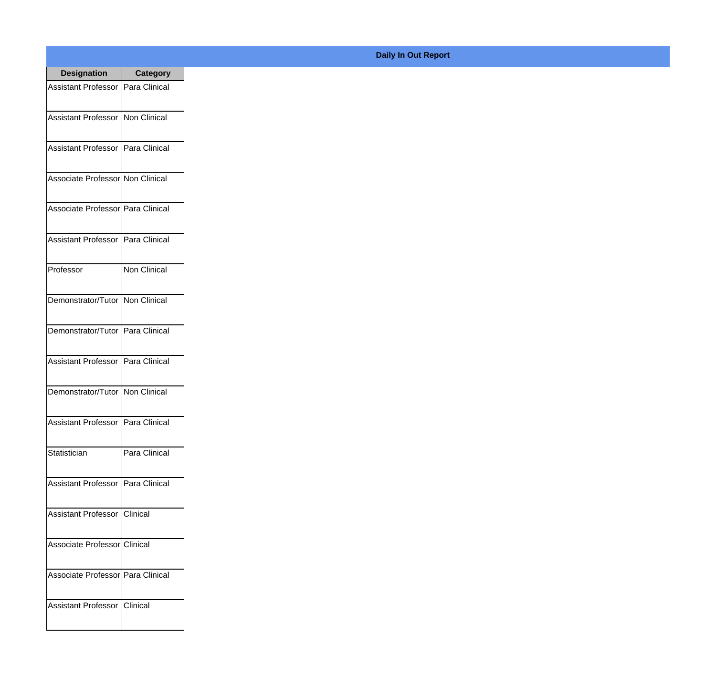| <b>Designation</b>                  | <b>Category</b> |
|-------------------------------------|-----------------|
| Assistant Professor   Para Clinical |                 |
| Assistant Professor   Non Clinical  |                 |
| Assistant Professor   Para Clinical |                 |
| Associate Professor Non Clinical    |                 |
| Associate Professor Para Clinical   |                 |
| Assistant Professor   Para Clinical |                 |
| Professor                           | Non Clinical    |
| Demonstrator/Tutor   Non Clinical   |                 |
| Demonstrator/Tutor   Para Clinical  |                 |
| <b>Assistant Professor</b>          | Para Clinical   |
| Demonstrator/Tutor   Non Clinical   |                 |
| Assistant Professor   Para Clinical |                 |
| Statistician                        | Para Clinical   |
| Assistant Professor   Para Clinical |                 |
| Assistant Professor   Clinical      |                 |
| Associate Professor Clinical        |                 |
| Associate Professor Para Clinical   |                 |
| Assistant Professor   Clinical      |                 |

## **Daily In Out Report**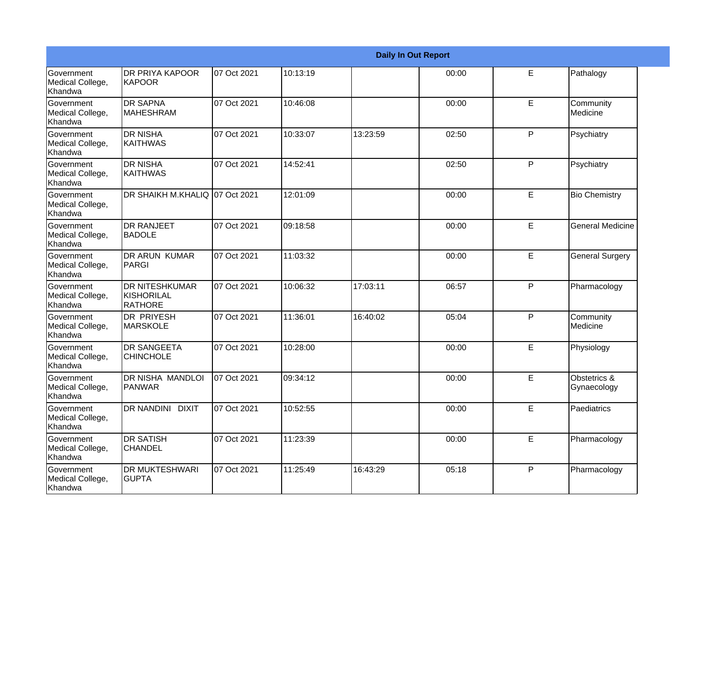|                                                  |                                                       |             |          |          | <b>Daily In Out Report</b> |   |                             |
|--------------------------------------------------|-------------------------------------------------------|-------------|----------|----------|----------------------------|---|-----------------------------|
| Government<br>Medical College,<br>Khandwa        | <b>DR PRIYA KAPOOR</b><br><b>KAPOOR</b>               | 07 Oct 2021 | 10:13:19 |          | 00:00                      | E | Pathalogy                   |
| <b>Government</b><br>Medical College,<br>Khandwa | <b>DR SAPNA</b><br>IMAHESHRAM                         | 07 Oct 2021 | 10:46:08 |          | 00:00                      | E | Community<br>Medicine       |
| <b>Government</b><br>Medical College,<br>Khandwa | <b>DR NISHA</b><br><b>KAITHWAS</b>                    | 07 Oct 2021 | 10:33:07 | 13:23:59 | 02:50                      | P | Psychiatry                  |
| <b>Government</b><br>Medical College,<br>Khandwa | <b>DR NISHA</b><br><b>KAITHWAS</b>                    | 07 Oct 2021 | 14:52:41 |          | 02:50                      | P | Psychiatry                  |
| Government<br>Medical College,<br>Khandwa        | DR SHAIKH M.KHALIQ 07 Oct 2021                        |             | 12:01:09 |          | 00:00                      | E | <b>Bio Chemistry</b>        |
| <b>Government</b><br>Medical College,<br>Khandwa | <b>IDR RANJEET</b><br><b>BADOLE</b>                   | 07 Oct 2021 | 09:18:58 |          | 00:00                      | E | <b>General Medicine</b>     |
| Government<br>Medical College,<br><b>Khandwa</b> | DR ARUN KUMAR<br>PARGI                                | 07 Oct 2021 | 11:03:32 |          | 00:00                      | E | <b>General Surgery</b>      |
| Government<br>Medical College,<br>Khandwa        | <b>DR NITESHKUMAR</b><br><b>KISHORILAL</b><br>RATHORE | 07 Oct 2021 | 10:06:32 | 17:03:11 | 06:57                      | P | Pharmacology                |
| Government<br>Medical College,<br>Khandwa        | <b>DR PRIYESH</b><br><b>MARSKOLE</b>                  | 07 Oct 2021 | 11:36:01 | 16:40:02 | 05:04                      | P | Community<br>Medicine       |
| <b>Government</b><br>Medical College,<br>Khandwa | <b>DR SANGEETA</b><br><b>CHINCHOLE</b>                | 07 Oct 2021 | 10:28:00 |          | 00:00                      | E | Physiology                  |
| <b>Government</b><br>Medical College,<br>Khandwa | <b>DR NISHA MANDLOI</b><br><b>PANWAR</b>              | 07 Oct 2021 | 09:34:12 |          | 00:00                      | E | Obstetrics &<br>Gynaecology |
| Government<br>Medical College,<br>Khandwa        | <b>DR NANDINI DIXIT</b>                               | 07 Oct 2021 | 10:52:55 |          | 00:00                      | E | Paediatrics                 |
| Government<br>Medical College,<br>Khandwa        | <b>DR SATISH</b><br><b>CHANDEL</b>                    | 07 Oct 2021 | 11:23:39 |          | 00:00                      | E | Pharmacology                |
| Government<br>Medical College,<br>Khandwa        | <b>DR MUKTESHWARI</b><br><b>GUPTA</b>                 | 07 Oct 2021 | 11:25:49 | 16:43:29 | 05:18                      | P | Pharmacology                |